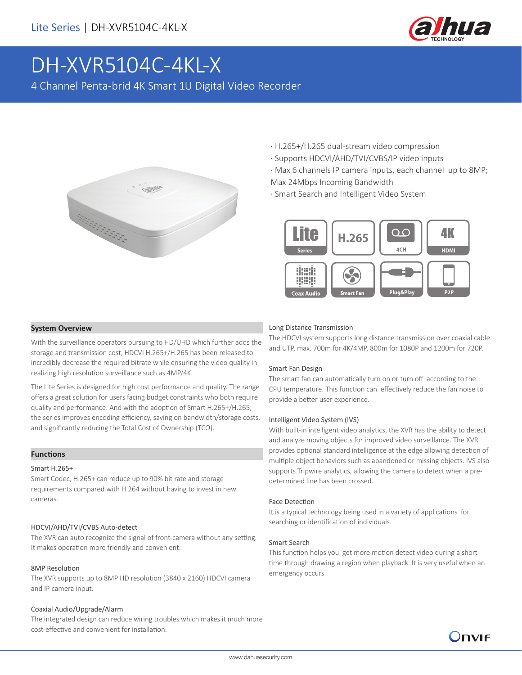

# DH-XVR5104C-4KL-X

4 Channel Penta-brid 4K Smart 1U Digital Video Recorder



- · H.265+/H.265 dual-stream video compression
- · Supports HDCVI/AHD/TVI/CVBS/IP video inputs
- · Max 6 channels IP camera inputs, each channel up to 8MP;

Max 24Mbps Incoming Bandwidth

· Smart Search and Intelligent Video System



#### **System Overview**

With the surveillance operators pursuing to HD/UHD which further adds the storage and transmission cost, HDCVI H.265+/H.265 has been released to incredibly decrease the required bitrate while ensuring the video quality in realizing high resolution surveillance such as 4MP/4K.

The Lite Series is designed for high cost performance and quality. The range offers a great solution for users facing budget constraints who both require quality and performance. And with the adoption of Smart H.265+/H.265, the series improves encoding efficiency, saving on bandwidth/storage costs, and significantly reducing the Total Cost of Ownership (TCO).

#### **Functions**

#### Smart H.265+

Smart Codec, H.265+ can reduce up to 90% bit rate and storage requirements compared with H.264 without having to invest in new cameras.

#### HDCVI/AHD/TVI/CVBS Auto-detect

The XVR can auto recognize the signal of front-camera without any setting. It makes operation more friendly and convenient.

#### 8MP Resolution

The XVR supports up to 8MP HD resolution (3840 x 2160) HDCVI camera and IP camera input.

#### Coaxial Audio/Upgrade/Alarm

The integrated design can reduce wiring troubles which makes it much more cost-effective and convenient for installation.

#### Long Distance Transmission

The HDCVI system supports long distance transmission over coaxial cable and UTP, max. 700m for 4K/4MP, 800m for 1080P and 1200m for 720P.

#### Smart Fan Design

The smart fan can automatically turn on or turn off according to the CPU temperature. This function can effectively reduce the fan noise to provide a better user experience.

#### Intelligent Video System (IVS)

With built-in intelligent video analytics, the XVR has the ability to detect and analyze moving objects for improved video surveillance. The XVR provides optional standard intelligence at the edge allowing detection of multiple object behaviors such as abandoned or missing objects. IVS also supports Tripwire analytics, allowing the camera to detect when a predetermined line has been crossed.

#### Face Detection

It is a typical technology being used in a variety of applications for searching or identification of individuals.

#### Smart Search

This function helps you get more motion detect video during a short time through drawing a region when playback. It is very useful when an emergency occurs.

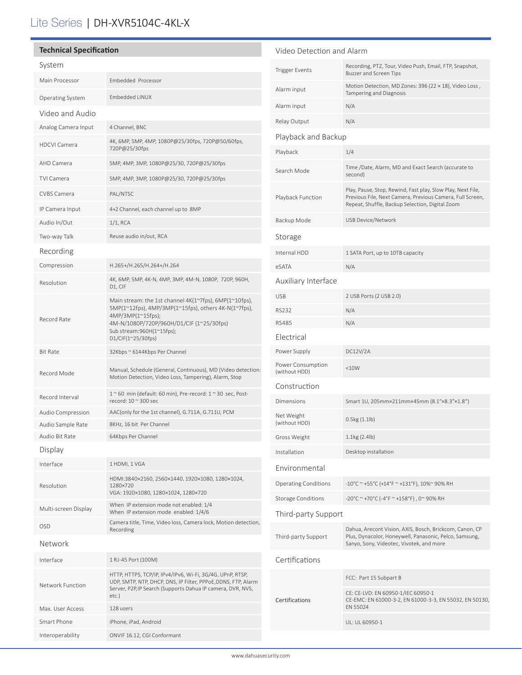## Lite Series | DH-XVR5104C-4KL-X

| <b>Technical Specification</b> |                                                                                                                                                                                                                                    | Video Detection and Alarm          |                                                                                                                                                                             |
|--------------------------------|------------------------------------------------------------------------------------------------------------------------------------------------------------------------------------------------------------------------------------|------------------------------------|-----------------------------------------------------------------------------------------------------------------------------------------------------------------------------|
| System                         |                                                                                                                                                                                                                                    | <b>Trigger Events</b>              | Recording, PTZ, Tour, Video Push, Email, FTP, Snapshot,<br><b>Buzzer and Screen Tips</b>                                                                                    |
| Main Processor                 | Embedded Processor                                                                                                                                                                                                                 | Alarm input                        | Motion Detection, MD Zones: 396 (22 × 18), Video Loss,                                                                                                                      |
| <b>Operating System</b>        | Embedded LINUX                                                                                                                                                                                                                     |                                    | Tampering and Diagnosis                                                                                                                                                     |
| Video and Audio                |                                                                                                                                                                                                                                    | Alarm input                        | N/A                                                                                                                                                                         |
| Analog Camera Input            | 4 Channel, BNC                                                                                                                                                                                                                     | Relay Output                       | N/A                                                                                                                                                                         |
| <b>HDCVI Camera</b>            | 4K, 6MP, 5MP, 4MP, 1080P@25/30fps, 720P@50/60fps,                                                                                                                                                                                  | Playback and Backup                |                                                                                                                                                                             |
|                                | 720P@25/30fps                                                                                                                                                                                                                      | Playback                           | 1/4                                                                                                                                                                         |
| AHD Camera                     | 5MP, 4MP, 3MP, 1080P@25/30, 720P@25/30fps                                                                                                                                                                                          | Search Mode                        | Time /Date, Alarm, MD and Exact Search (accurate to<br>second)                                                                                                              |
| <b>TVI Camera</b>              | 5MP, 4MP, 3MP, 1080P@25/30, 720P@25/30fps                                                                                                                                                                                          |                                    |                                                                                                                                                                             |
| CVBS Camera                    | PAL/NTSC                                                                                                                                                                                                                           | Playback Function                  | Play, Pause, Stop, Rewind, Fast play, Slow Play, Next File,<br>Previous File, Next Camera, Previous Camera, Full Screen,<br>Repeat, Shuffle, Backup Selection, Digital Zoom |
| IP Camera Input                | 4+2 Channel, each channel up to 8MP                                                                                                                                                                                                |                                    |                                                                                                                                                                             |
| Audio In/Out                   | $1/1$ , RCA                                                                                                                                                                                                                        | Backup Mode                        | <b>USB Device/Network</b>                                                                                                                                                   |
| Two-way Talk                   | Reuse audio in/out, RCA                                                                                                                                                                                                            | Storage                            |                                                                                                                                                                             |
| Recording                      |                                                                                                                                                                                                                                    | Internal HDD                       | 1 SATA Port, up to 10TB capacity                                                                                                                                            |
| Compression                    | H.265+/H.265/H.264+/H.264                                                                                                                                                                                                          | eSATA                              | N/A                                                                                                                                                                         |
| Resolution                     | 4K, 6MP, 5MP, 4K-N, 4MP, 3MP, 4M-N, 1080P, 720P, 960H,<br>D1, CIF                                                                                                                                                                  | Auxiliary Interface                |                                                                                                                                                                             |
|                                | Main stream: the 1st channel 4K(1~7fps), 6MP(1~10fps),<br>5MP(1~12fps), 4MP/3MP(1~15fps), others 4K-N(1~7fps),<br>4MP/3MP(1~15fps);<br>4M-N/1080P/720P/960H/D1/CIF (1~25/30fps)<br>Sub stream:960H(1~15fps);<br>D1/CIF(1~25/30fps) | <b>USB</b>                         | 2 USB Ports (2 USB 2.0)                                                                                                                                                     |
|                                |                                                                                                                                                                                                                                    | <b>RS232</b>                       | N/A                                                                                                                                                                         |
| Record Rate                    |                                                                                                                                                                                                                                    | <b>RS485</b>                       | N/A                                                                                                                                                                         |
|                                |                                                                                                                                                                                                                                    | Electrical                         |                                                                                                                                                                             |
| <b>Bit Rate</b>                | 32Kbps ~ 6144Kbps Per Channel                                                                                                                                                                                                      | Power Supply                       | DC12V/2A                                                                                                                                                                    |
| Record Mode                    | Manual, Schedule (General, Continuous), MD (Video detection:<br>Motion Detection, Video Loss, Tampering), Alarm, Stop                                                                                                              | Power Consumption<br>(without HDD) | <10W                                                                                                                                                                        |
|                                |                                                                                                                                                                                                                                    | Construction                       |                                                                                                                                                                             |
| Record Interval                | $1~$ ~60 min (default: 60 min), Pre-record: $1~$ ~30 sec, Post-<br>record: 10 ~ 300 sec                                                                                                                                            | Dimensions                         | Smart 1U, 205mm×211mm×45mm (8.1"×8.3"×1.8")                                                                                                                                 |
| Audio Compression              | AAC(only for the 1st channel), G.711A, G.711U, PCM                                                                                                                                                                                 | Net Weight                         | $0.5$ kg $(1.1$ lb)                                                                                                                                                         |
| Audio Sample Rate              | 8KHz, 16 bit Per Channel                                                                                                                                                                                                           | (without HDD)                      |                                                                                                                                                                             |
| Audio Bit Rate                 | 64Kbps Per Channel                                                                                                                                                                                                                 | Gross Weight                       | 1.1kg(2.4lb)                                                                                                                                                                |
| Display                        |                                                                                                                                                                                                                                    | Installation                       | Desktop installation                                                                                                                                                        |
| Interface                      | 1 HDMI, 1 VGA                                                                                                                                                                                                                      | Environmental                      |                                                                                                                                                                             |
| Resolution                     | HDMI:3840×2160, 2560×1440, 1920×1080, 1280×1024,<br>1280×720<br>VGA: 1920×1080, 1280×1024, 1280×720                                                                                                                                | <b>Operating Conditions</b>        | -10°C ~ +55°C (+14°F ~ +131°F), 10%~ 90% RH                                                                                                                                 |
|                                | When IP extension mode not enabled: 1/4                                                                                                                                                                                            | <b>Storage Conditions</b>          | -20°C ~ +70°C (-4°F ~ +158°F), 0~90% RH                                                                                                                                     |
| Multi-screen Display           | When IP extension mode enabled: 1/4/6                                                                                                                                                                                              | Third-party Support                |                                                                                                                                                                             |
| OSD                            | Camera title, Time, Video loss, Camera lock, Motion detection,<br>Recording                                                                                                                                                        | Third-party Support                | Dahua, Arecont Vision, AXIS, Bosch, Brickcom, Canon, CP<br>Plus, Dynacolor, Honeywell, Panasonic, Pelco, Samsung,                                                           |
| Network                        |                                                                                                                                                                                                                                    |                                    | Sanyo, Sony, Videotec, Vivotek, and more                                                                                                                                    |
| Interface                      | 1 RJ-45 Port (100M)                                                                                                                                                                                                                | Certifications                     |                                                                                                                                                                             |
| Network Function               | HTTP, HTTPS, TCP/IP, IPv4/IPv6, Wi-Fi, 3G/4G, UPnP, RTSP,<br>UDP, SMTP, NTP, DHCP, DNS, IP Filter, PPPoE, DDNS, FTP, Alarm<br>Server, P2P, IP Search (Supports Dahua IP camera, DVR, NVS,<br>etc.)                                 | Certifications                     | FCC: Part 15 Subpart B                                                                                                                                                      |
|                                |                                                                                                                                                                                                                                    |                                    | CE: CE-LVD: EN 60950-1/IEC 60950-1<br>CE-EMC: EN 61000-3-2, EN 61000-3-3, EN 55032, EN 50130,                                                                               |
| Max. User Access               | 128 users                                                                                                                                                                                                                          | EN 55024                           |                                                                                                                                                                             |
| Smart Phone                    | iPhone, iPad, Android                                                                                                                                                                                                              |                                    | UL: UL 60950-1                                                                                                                                                              |
| Interoperability               | ONVIF 16.12, CGI Conformant                                                                                                                                                                                                        |                                    |                                                                                                                                                                             |